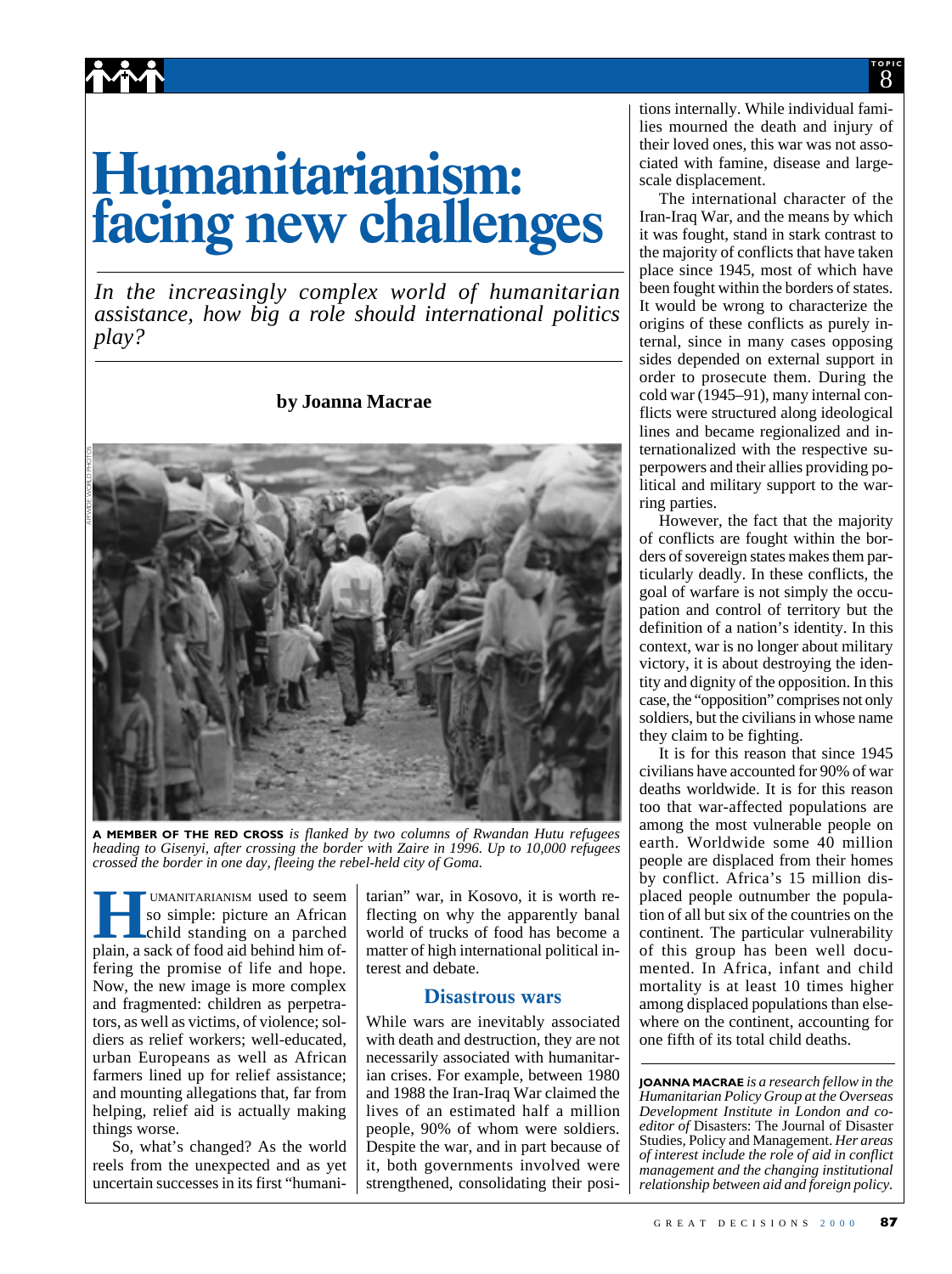# **Humanitarianism: facing new challenges**

**^^^** 

*In the increasingly complex world of humanitarian assistance, how big a role should international politics play?*

#### **by Joanna Macrae**



**A MEMBER OF THE RED CROSS** *is flanked by two columns of Rwandan Hutu refugees heading to Gisenyi, after crossing the border with Zaire in 1996. Up to 10,000 refugees crossed the border in one day, fleeing the rebel-held city of Goma.*

**Hermannian COMANITARIANISM used to seem**<br>
so simple: picture an African<br>
child standing on a parched<br>
plain a sack of food aid behind him ofso simple: picture an African child standing on a parched plain, a sack of food aid behind him offering the promise of life and hope. Now, the new image is more complex and fragmented: children as perpetrators, as well as victims, of violence; soldiers as relief workers; well-educated, urban Europeans as well as African farmers lined up for relief assistance; and mounting allegations that, far from helping, relief aid is actually making things worse.

So, what's changed? As the world reels from the unexpected and as yet uncertain successes in its first "humani-

tarian" war, in Kosovo, it is worth reflecting on why the apparently banal world of trucks of food has become a matter of high international political interest and debate.

#### **Disastrous wars**

While wars are inevitably associated with death and destruction, they are not necessarily associated with humanitarian crises. For example, between 1980 and 1988 the Iran-Iraq War claimed the lives of an estimated half a million people, 90% of whom were soldiers. Despite the war, and in part because of it, both governments involved were strengthened, consolidating their positions internally. While individual families mourned the death and injury of their loved ones, this war was not associated with famine, disease and largescale displacement.

The international character of the Iran-Iraq War, and the means by which it was fought, stand in stark contrast to the majority of conflicts that have taken place since 1945, most of which have been fought within the borders of states. It would be wrong to characterize the origins of these conflicts as purely internal, since in many cases opposing sides depended on external support in order to prosecute them. During the cold war (1945–91), many internal conflicts were structured along ideological lines and became regionalized and internationalized with the respective superpowers and their allies providing political and military support to the warring parties.

However, the fact that the majority of conflicts are fought within the borders of sovereign states makes them particularly deadly. In these conflicts, the goal of warfare is not simply the occupation and control of territory but the definition of a nation's identity. In this context, war is no longer about military victory, it is about destroying the identity and dignity of the opposition. In this case, the "opposition" comprises not only soldiers, but the civilians in whose name they claim to be fighting.

It is for this reason that since 1945 civilians have accounted for 90% of war deaths worldwide. It is for this reason too that war-affected populations are among the most vulnerable people on earth. Worldwide some 40 million people are displaced from their homes by conflict. Africa's 15 million displaced people outnumber the population of all but six of the countries on the continent. The particular vulnerability of this group has been well documented. In Africa, infant and child mortality is at least 10 times higher among displaced populations than elsewhere on the continent, accounting for one fifth of its total child deaths.

**JOANNA MACRAE** *is a research fellow in the Humanitarian Policy Group at the Overseas Development Institute in London and coeditor of* Disasters: The Journal of Disaster Studies, Policy and Management. *Her areas of interest include the role of aid in conflict management and the changing institutional relationship between aid and foreign policy.*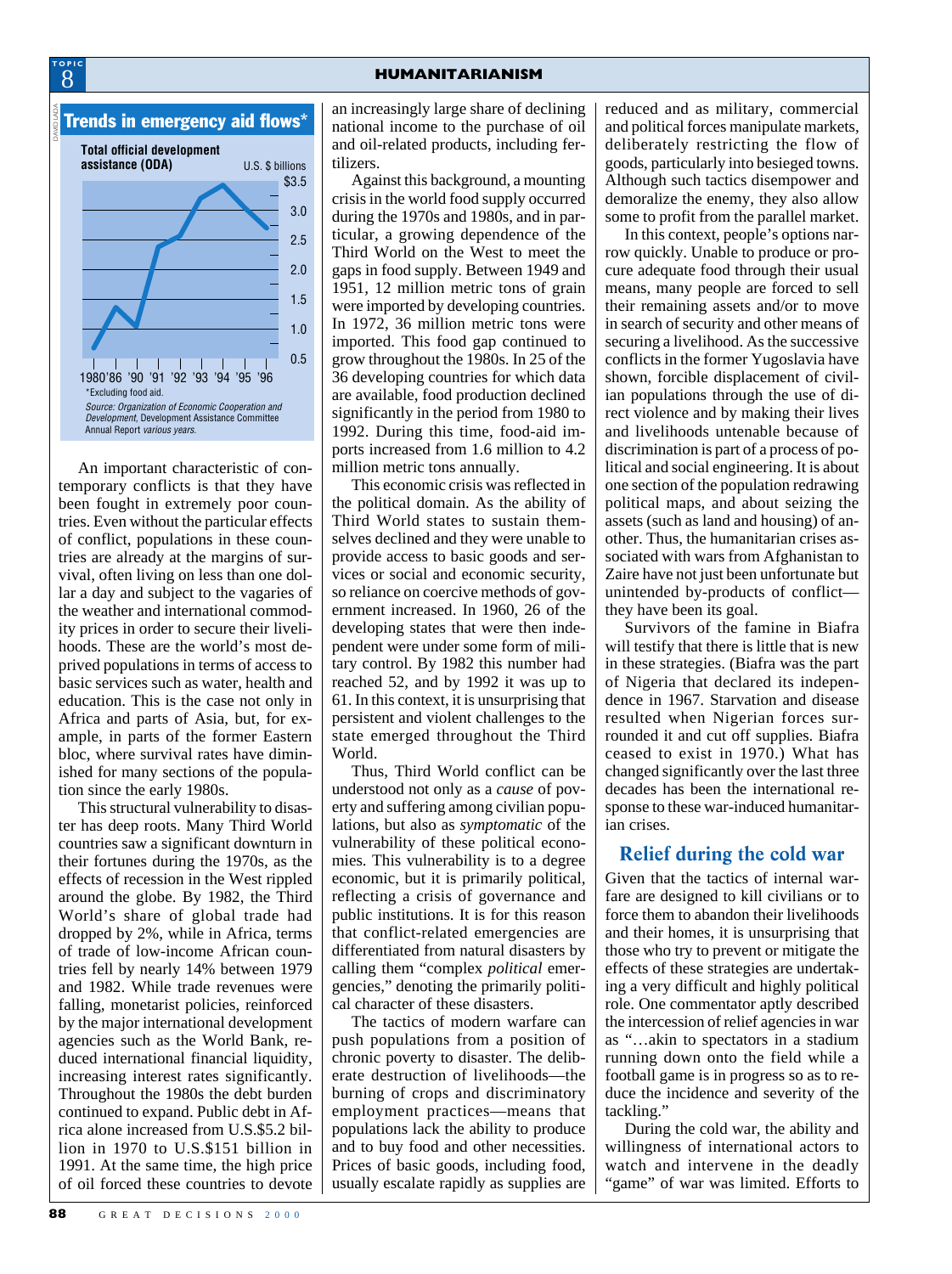

**TOPIC**

An important characteristic of contemporary conflicts is that they have been fought in extremely poor countries. Even without the particular effects of conflict, populations in these countries are already at the margins of survival, often living on less than one dollar a day and subject to the vagaries of the weather and international commodity prices in order to secure their livelihoods. These are the world's most deprived populations in terms of access to basic services such as water, health and education. This is the case not only in Africa and parts of Asia, but, for example, in parts of the former Eastern bloc, where survival rates have diminished for many sections of the population since the early 1980s.

This structural vulnerability to disaster has deep roots. Many Third World countries saw a significant downturn in their fortunes during the 1970s, as the effects of recession in the West rippled around the globe. By 1982, the Third World's share of global trade had dropped by 2%, while in Africa, terms of trade of low-income African countries fell by nearly 14% between 1979 and 1982. While trade revenues were falling, monetarist policies, reinforced by the major international development agencies such as the World Bank, reduced international financial liquidity, increasing interest rates significantly. Throughout the 1980s the debt burden continued to expand. Public debt in Africa alone increased from U.S.\$5.2 billion in 1970 to U.S.\$151 billion in 1991. At the same time, the high price of oil forced these countries to devote

an increasingly large share of declining national income to the purchase of oil and oil-related products, including fertilizers.

Against this background, a mounting crisis in the world food supply occurred during the 1970s and 1980s, and in particular, a growing dependence of the Third World on the West to meet the gaps in food supply. Between 1949 and 1951, 12 million metric tons of grain were imported by developing countries. In 1972, 36 million metric tons were imported. This food gap continued to grow throughout the 1980s. In 25 of the 36 developing countries for which data are available, food production declined significantly in the period from 1980 to 1992. During this time, food-aid imports increased from 1.6 million to 4.2 million metric tons annually.

This economic crisis was reflected in the political domain. As the ability of Third World states to sustain themselves declined and they were unable to provide access to basic goods and services or social and economic security, so reliance on coercive methods of government increased. In 1960, 26 of the developing states that were then independent were under some form of military control. By 1982 this number had reached 52, and by 1992 it was up to 61. In this context, it is unsurprising that persistent and violent challenges to the state emerged throughout the Third World.

Thus, Third World conflict can be understood not only as a *cause* of poverty and suffering among civilian populations, but also as *symptomatic* of the vulnerability of these political economies. This vulnerability is to a degree economic, but it is primarily political, reflecting a crisis of governance and public institutions. It is for this reason that conflict-related emergencies are differentiated from natural disasters by calling them "complex *political* emergencies," denoting the primarily political character of these disasters.

The tactics of modern warfare can push populations from a position of chronic poverty to disaster. The deliberate destruction of livelihoods—the burning of crops and discriminatory employment practices—means that populations lack the ability to produce and to buy food and other necessities. Prices of basic goods, including food, usually escalate rapidly as supplies are reduced and as military, commercial and political forces manipulate markets, deliberately restricting the flow of goods, particularly into besieged towns. Although such tactics disempower and demoralize the enemy, they also allow some to profit from the parallel market.

In this context, people's options narrow quickly. Unable to produce or procure adequate food through their usual means, many people are forced to sell their remaining assets and/or to move in search of security and other means of securing a livelihood. As the successive conflicts in the former Yugoslavia have shown, forcible displacement of civilian populations through the use of direct violence and by making their lives and livelihoods untenable because of discrimination is part of a process of political and social engineering. It is about one section of the population redrawing political maps, and about seizing the assets (such as land and housing) of another. Thus, the humanitarian crises associated with wars from Afghanistan to Zaire have not just been unfortunate but unintended by-products of conflict they have been its goal.

Survivors of the famine in Biafra will testify that there is little that is new in these strategies. (Biafra was the part of Nigeria that declared its independence in 1967. Starvation and disease resulted when Nigerian forces surrounded it and cut off supplies. Biafra ceased to exist in 1970.) What has changed significantly over the last three decades has been the international response to these war-induced humanitarian crises.

#### **Relief during the cold war**

Given that the tactics of internal warfare are designed to kill civilians or to force them to abandon their livelihoods and their homes, it is unsurprising that those who try to prevent or mitigate the effects of these strategies are undertaking a very difficult and highly political role. One commentator aptly described the intercession of relief agencies in war as "…akin to spectators in a stadium running down onto the field while a football game is in progress so as to reduce the incidence and severity of the tackling."

During the cold war, the ability and willingness of international actors to watch and intervene in the deadly "game" of war was limited. Efforts to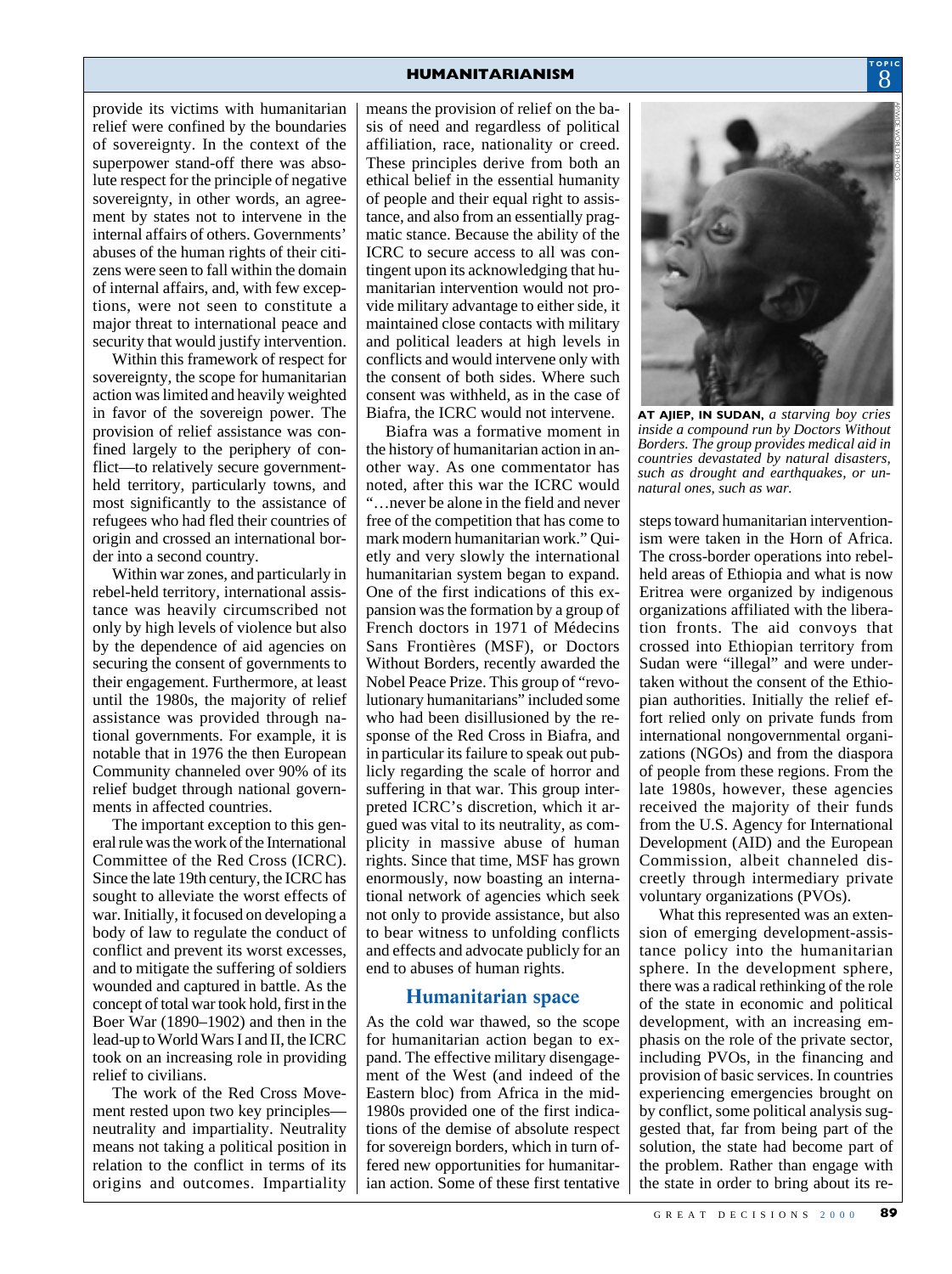provide its victims with humanitarian relief were confined by the boundaries of sovereignty. In the context of the superpower stand-off there was absolute respect for the principle of negative sovereignty, in other words, an agreement by states not to intervene in the internal affairs of others. Governments' abuses of the human rights of their citizens were seen to fall within the domain of internal affairs, and, with few exceptions, were not seen to constitute a major threat to international peace and security that would justify intervention.

Within this framework of respect for sovereignty, the scope for humanitarian action was limited and heavily weighted in favor of the sovereign power. The provision of relief assistance was confined largely to the periphery of conflict—to relatively secure governmentheld territory, particularly towns, and most significantly to the assistance of refugees who had fled their countries of origin and crossed an international border into a second country.

Within war zones, and particularly in rebel-held territory, international assistance was heavily circumscribed not only by high levels of violence but also by the dependence of aid agencies on securing the consent of governments to their engagement. Furthermore, at least until the 1980s, the majority of relief assistance was provided through national governments. For example, it is notable that in 1976 the then European Community channeled over 90% of its relief budget through national governments in affected countries.

The important exception to this general rule was the work of the International Committee of the Red Cross (ICRC). Since the late 19th century, the ICRC has sought to alleviate the worst effects of war. Initially, it focused on developing a body of law to regulate the conduct of conflict and prevent its worst excesses, and to mitigate the suffering of soldiers wounded and captured in battle. As the concept of total war took hold, first in the Boer War (1890–1902) and then in the lead-up to World Wars I and II, the ICRC took on an increasing role in providing relief to civilians.

The work of the Red Cross Movement rested upon two key principles neutrality and impartiality. Neutrality means not taking a political position in relation to the conflict in terms of its origins and outcomes. Impartiality

means the provision of relief on the basis of need and regardless of political affiliation, race, nationality or creed. These principles derive from both an ethical belief in the essential humanity of people and their equal right to assistance, and also from an essentially pragmatic stance. Because the ability of the ICRC to secure access to all was contingent upon its acknowledging that humanitarian intervention would not provide military advantage to either side, it maintained close contacts with military and political leaders at high levels in conflicts and would intervene only with the consent of both sides. Where such consent was withheld, as in the case of Biafra, the ICRC would not intervene.

Biafra was a formative moment in the history of humanitarian action in another way. As one commentator has noted, after this war the ICRC would "…never be alone in the field and never free of the competition that has come to mark modern humanitarian work." Quietly and very slowly the international humanitarian system began to expand. One of the first indications of this expansion was the formation by a group of French doctors in 1971 of Médecins Sans Frontières (MSF), or Doctors Without Borders, recently awarded the Nobel Peace Prize. This group of "revolutionary humanitarians" included some who had been disillusioned by the response of the Red Cross in Biafra, and in particular its failure to speak out publicly regarding the scale of horror and suffering in that war. This group interpreted ICRC's discretion, which it argued was vital to its neutrality, as complicity in massive abuse of human rights. Since that time, MSF has grown enormously, now boasting an international network of agencies which seek not only to provide assistance, but also to bear witness to unfolding conflicts and effects and advocate publicly for an end to abuses of human rights.

#### **Humanitarian space**

As the cold war thawed, so the scope for humanitarian action began to expand. The effective military disengagement of the West (and indeed of the Eastern bloc) from Africa in the mid-1980s provided one of the first indications of the demise of absolute respect for sovereign borders, which in turn offered new opportunities for humanitarian action. Some of these first tentative



**AT AJIEP, IN SUDAN,** *a starving boy cries inside a compound run by Doctors Without Borders. The group provides medical aid in countries devastated by natural disasters, such as drought and earthquakes, or unnatural ones, such as war.*

steps toward humanitarian interventionism were taken in the Horn of Africa. The cross-border operations into rebelheld areas of Ethiopia and what is now Eritrea were organized by indigenous organizations affiliated with the liberation fronts. The aid convoys that crossed into Ethiopian territory from Sudan were "illegal" and were undertaken without the consent of the Ethiopian authorities. Initially the relief effort relied only on private funds from international nongovernmental organizations (NGOs) and from the diaspora of people from these regions. From the late 1980s, however, these agencies received the majority of their funds from the U.S. Agency for International Development (AID) and the European Commission, albeit channeled discreetly through intermediary private voluntary organizations (PVOs).

What this represented was an extension of emerging development-assistance policy into the humanitarian sphere. In the development sphere, there was a radical rethinking of the role of the state in economic and political development, with an increasing emphasis on the role of the private sector, including PVOs, in the financing and provision of basic services. In countries experiencing emergencies brought on by conflict, some political analysis suggested that, far from being part of the solution, the state had become part of the problem. Rather than engage with the state in order to bring about its re-

8 **TOPIC**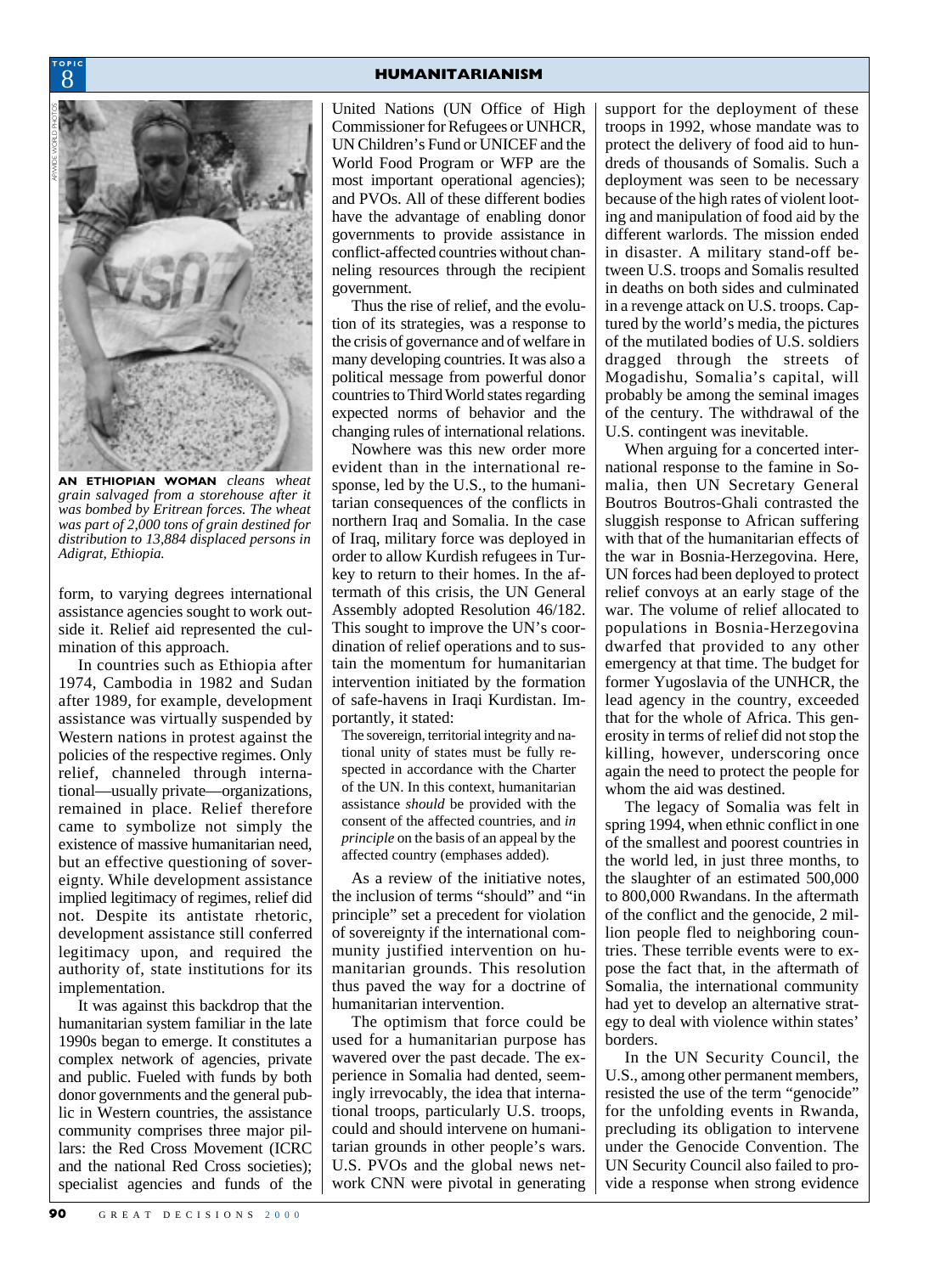

**TOPIC**

**AN ETHIOPIAN WOMAN** *cleans wheat grain salvaged from a storehouse after it was bombed by Eritrean forces. The wheat was part of 2,000 tons of grain destined for distribution to 13,884 displaced persons in Adigrat, Ethiopia.*

form, to varying degrees international assistance agencies sought to work outside it. Relief aid represented the culmination of this approach.

In countries such as Ethiopia after 1974, Cambodia in 1982 and Sudan after 1989, for example, development assistance was virtually suspended by Western nations in protest against the policies of the respective regimes. Only relief, channeled through international—usually private—organizations, remained in place. Relief therefore came to symbolize not simply the existence of massive humanitarian need, but an effective questioning of sovereignty. While development assistance implied legitimacy of regimes, relief did not. Despite its antistate rhetoric, development assistance still conferred legitimacy upon, and required the authority of, state institutions for its implementation.

It was against this backdrop that the humanitarian system familiar in the late 1990s began to emerge. It constitutes a complex network of agencies, private and public. Fueled with funds by both donor governments and the general public in Western countries, the assistance community comprises three major pillars: the Red Cross Movement (ICRC and the national Red Cross societies); specialist agencies and funds of the

United Nations (UN Office of High Commissioner for Refugees or UNHCR, UN Children's Fund or UNICEF and the World Food Program or WFP are the most important operational agencies); and PVOs. All of these different bodies have the advantage of enabling donor governments to provide assistance in conflict-affected countries without channeling resources through the recipient government.

Thus the rise of relief, and the evolution of its strategies, was a response to the crisis of governance and of welfare in many developing countries. It was also a political message from powerful donor countries to Third World states regarding expected norms of behavior and the changing rules of international relations.

Nowhere was this new order more evident than in the international response, led by the U.S., to the humanitarian consequences of the conflicts in northern Iraq and Somalia. In the case of Iraq, military force was deployed in order to allow Kurdish refugees in Turkey to return to their homes. In the aftermath of this crisis, the UN General Assembly adopted Resolution 46/182. This sought to improve the UN's coordination of relief operations and to sustain the momentum for humanitarian intervention initiated by the formation of safe-havens in Iraqi Kurdistan. Importantly, it stated:

The sovereign, territorial integrity and national unity of states must be fully respected in accordance with the Charter of the UN. In this context, humanitarian assistance *should* be provided with the consent of the affected countries, and *in principle* on the basis of an appeal by the affected country (emphases added).

As a review of the initiative notes, the inclusion of terms "should" and "in principle" set a precedent for violation of sovereignty if the international community justified intervention on humanitarian grounds. This resolution thus paved the way for a doctrine of humanitarian intervention.

The optimism that force could be used for a humanitarian purpose has wavered over the past decade. The experience in Somalia had dented, seemingly irrevocably, the idea that international troops, particularly U.S. troops, could and should intervene on humanitarian grounds in other people's wars. U.S. PVOs and the global news network CNN were pivotal in generating support for the deployment of these troops in 1992, whose mandate was to protect the delivery of food aid to hundreds of thousands of Somalis. Such a deployment was seen to be necessary because of the high rates of violent looting and manipulation of food aid by the different warlords. The mission ended in disaster. A military stand-off between U.S. troops and Somalis resulted in deaths on both sides and culminated in a revenge attack on U.S. troops. Captured by the world's media, the pictures of the mutilated bodies of U.S. soldiers dragged through the streets of Mogadishu, Somalia's capital, will probably be among the seminal images of the century. The withdrawal of the U.S. contingent was inevitable.

When arguing for a concerted international response to the famine in Somalia, then UN Secretary General Boutros Boutros-Ghali contrasted the sluggish response to African suffering with that of the humanitarian effects of the war in Bosnia-Herzegovina. Here, UN forces had been deployed to protect relief convoys at an early stage of the war. The volume of relief allocated to populations in Bosnia-Herzegovina dwarfed that provided to any other emergency at that time. The budget for former Yugoslavia of the UNHCR, the lead agency in the country, exceeded that for the whole of Africa. This generosity in terms of relief did not stop the killing, however, underscoring once again the need to protect the people for whom the aid was destined.

The legacy of Somalia was felt in spring 1994, when ethnic conflict in one of the smallest and poorest countries in the world led, in just three months, to the slaughter of an estimated 500,000 to 800,000 Rwandans. In the aftermath of the conflict and the genocide, 2 million people fled to neighboring countries. These terrible events were to expose the fact that, in the aftermath of Somalia, the international community had yet to develop an alternative strategy to deal with violence within states' borders.

In the UN Security Council, the U.S., among other permanent members, resisted the use of the term "genocide" for the unfolding events in Rwanda, precluding its obligation to intervene under the Genocide Convention. The UN Security Council also failed to provide a response when strong evidence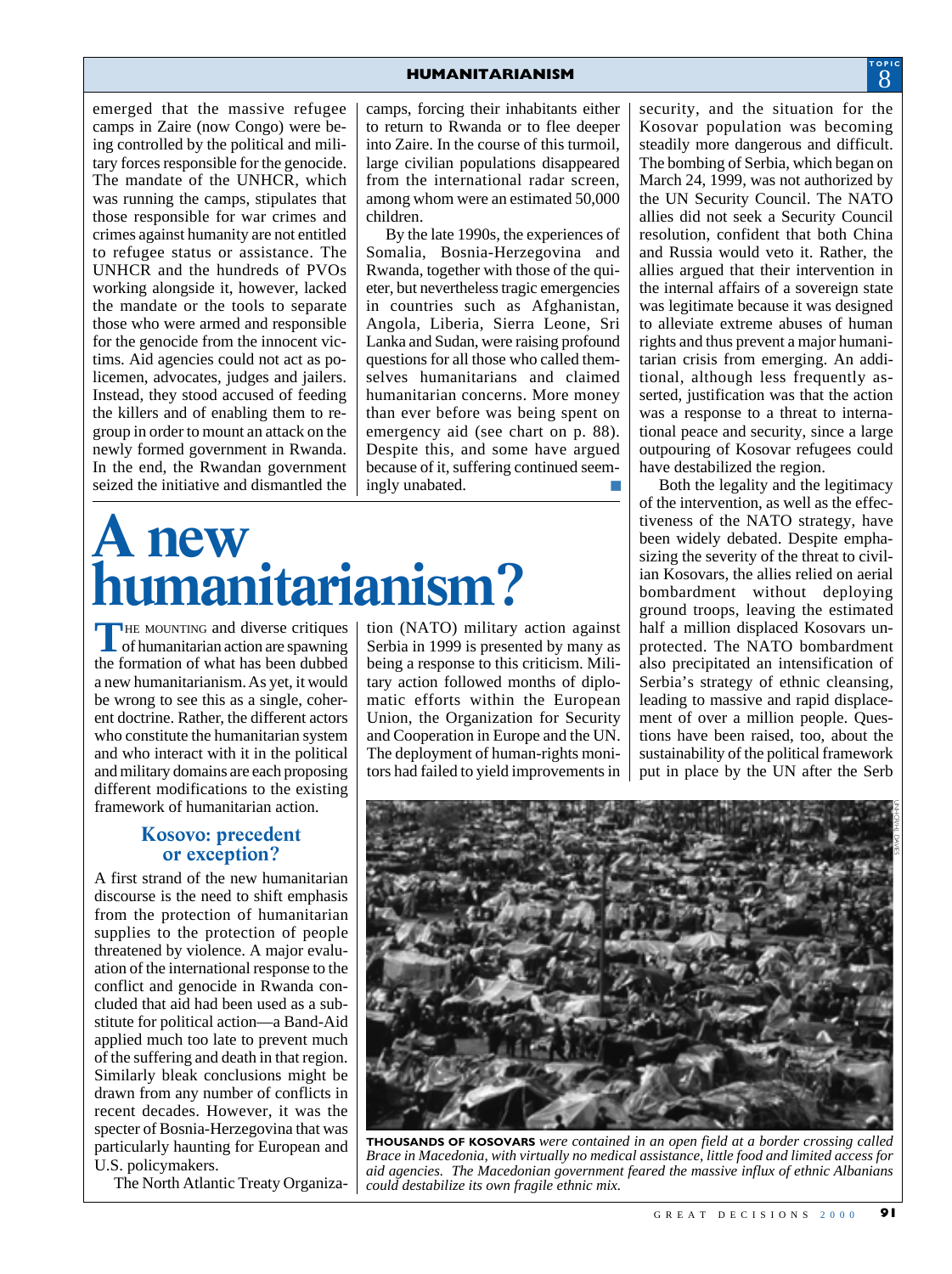camps, forcing their inhabitants either to return to Rwanda or to flee deeper into Zaire. In the course of this turmoil, large civilian populations disappeared from the international radar screen, among whom were an estimated 50,000

By the late 1990s, the experiences of Somalia, Bosnia-Herzegovina and Rwanda, together with those of the quieter, but nevertheless tragic emergencies in countries such as Afghanistan, Angola, Liberia, Sierra Leone, Sri Lanka and Sudan, were raising profound questions for all those who called themselves humanitarians and claimed humanitarian concerns. More money than ever before was being spent on emergency aid (see chart on p. 88). Despite this, and some have argued because of it, suffering continued seem-

children.

emerged that the massive refugee camps in Zaire (now Congo) were being controlled by the political and military forces responsible for the genocide. The mandate of the UNHCR, which was running the camps, stipulates that those responsible for war crimes and crimes against humanity are not entitled to refugee status or assistance. The UNHCR and the hundreds of PVOs working alongside it, however, lacked the mandate or the tools to separate those who were armed and responsible for the genocide from the innocent victims. Aid agencies could not act as policemen, advocates, judges and jailers. Instead, they stood accused of feeding the killers and of enabling them to regroup in order to mount an attack on the newly formed government in Rwanda. In the end, the Rwandan government seized the initiative and dismantled the

## **A new humanitarianism?**

THE MOUNTING and diverse critiques<br>
of humanitarian action are spawning the formation of what has been dubbed a new humanitarianism. As yet, it would be wrong to see this as a single, coherent doctrine. Rather, the different actors who constitute the humanitarian system and who interact with it in the political and military domains are each proposing different modifications to the existing framework of humanitarian action.

#### **Kosovo: precedent or exception?**

A first strand of the new humanitarian discourse is the need to shift emphasis from the protection of humanitarian supplies to the protection of people threatened by violence. A major evaluation of the international response to the conflict and genocide in Rwanda concluded that aid had been used as a substitute for political action—a Band-Aid applied much too late to prevent much of the suffering and death in that region. Similarly bleak conclusions might be drawn from any number of conflicts in recent decades. However, it was the specter of Bosnia-Herzegovina that was particularly haunting for European and U.S. policymakers.

The North Atlantic Treaty Organiza-

tion (NATO) military action against Serbia in 1999 is presented by many as being a response to this criticism. Military action followed months of diplomatic efforts within the European Union, the Organization for Security ingly unabated.

and Cooperation in Europe and the UN. The deployment of human-rights monitors had failed to yield improvements in

security, and the situation for the Kosovar population was becoming steadily more dangerous and difficult. The bombing of Serbia, which began on March 24, 1999, was not authorized by the UN Security Council. The NATO allies did not seek a Security Council resolution, confident that both China and Russia would veto it. Rather, the allies argued that their intervention in the internal affairs of a sovereign state was legitimate because it was designed to alleviate extreme abuses of human rights and thus prevent a major humanitarian crisis from emerging. An additional, although less frequently asserted, justification was that the action was a response to a threat to international peace and security, since a large outpouring of Kosovar refugees could have destabilized the region.

Both the legality and the legitimacy of the intervention, as well as the effectiveness of the NATO strategy, have been widely debated. Despite emphasizing the severity of the threat to civilian Kosovars, the allies relied on aerial bombardment without deploying ground troops, leaving the estimated half a million displaced Kosovars unprotected. The NATO bombardment also precipitated an intensification of Serbia's strategy of ethnic cleansing, leading to massive and rapid displacement of over a million people. Questions have been raised, too, about the sustainability of the political framework put in place by the UN after the Serb



**THOUSANDS OF KOSOVARS** *were contained in an open field at a border crossing called Brace in Macedonia, with virtually no medical assistance, little food and limited access for aid agencies. The Macedonian government feared the massive influx of ethnic Albanians could destabilize its own fragile ethnic mix.*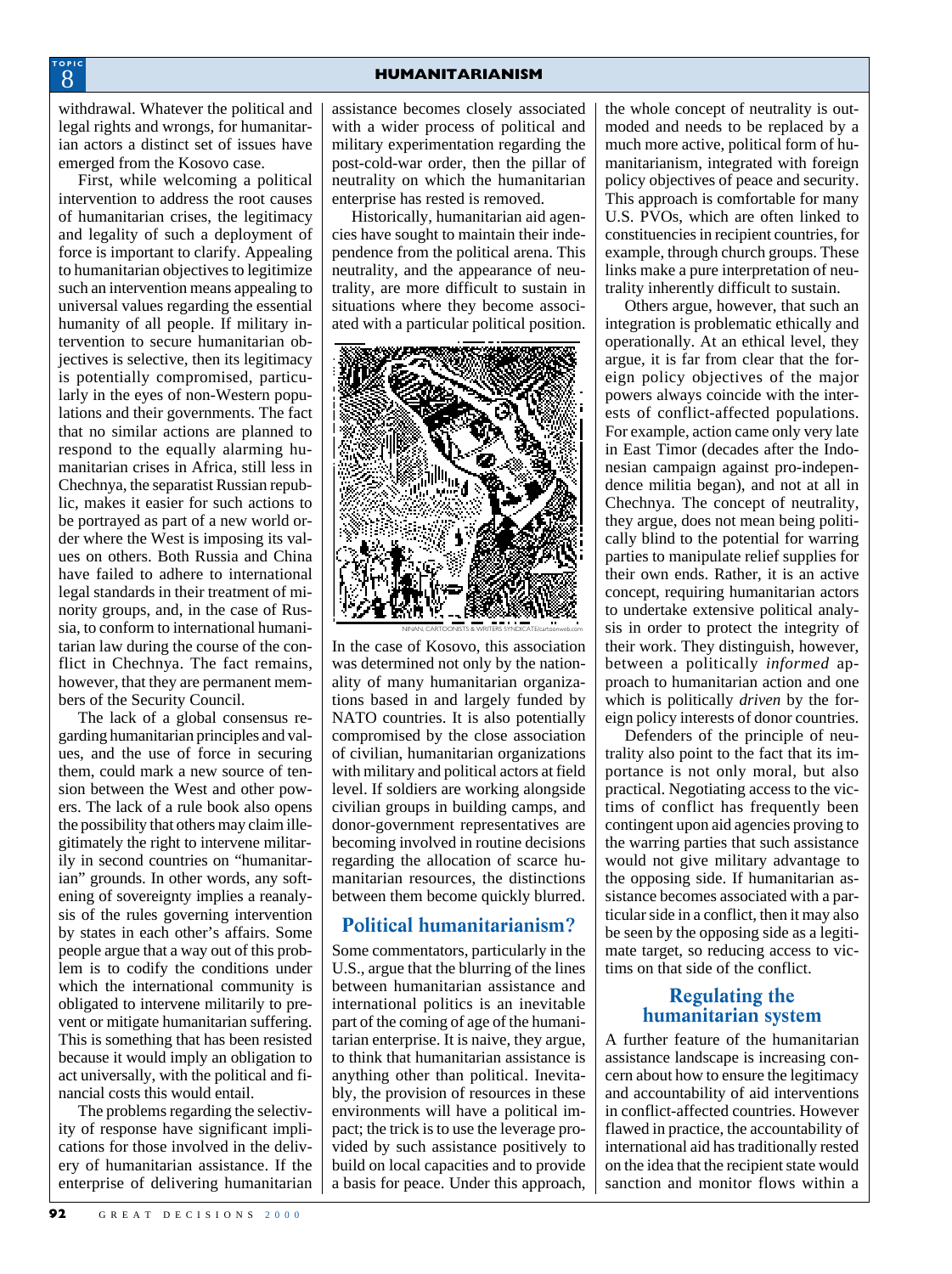withdrawal. Whatever the political and legal rights and wrongs, for humanitarian actors a distinct set of issues have emerged from the Kosovo case.

First, while welcoming a political intervention to address the root causes of humanitarian crises, the legitimacy and legality of such a deployment of force is important to clarify. Appealing to humanitarian objectives to legitimize such an intervention means appealing to universal values regarding the essential humanity of all people. If military intervention to secure humanitarian objectives is selective, then its legitimacy is potentially compromised, particularly in the eyes of non-Western populations and their governments. The fact that no similar actions are planned to respond to the equally alarming humanitarian crises in Africa, still less in Chechnya, the separatist Russian republic, makes it easier for such actions to be portrayed as part of a new world order where the West is imposing its values on others. Both Russia and China have failed to adhere to international legal standards in their treatment of minority groups, and, in the case of Russia, to conform to international humanitarian law during the course of the conflict in Chechnya. The fact remains, however, that they are permanent members of the Security Council.

The lack of a global consensus regarding humanitarian principles and values, and the use of force in securing them, could mark a new source of tension between the West and other powers. The lack of a rule book also opens the possibility that others may claim illegitimately the right to intervene militarily in second countries on "humanitarian" grounds. In other words, any softening of sovereignty implies a reanalysis of the rules governing intervention by states in each other's affairs. Some people argue that a way out of this problem is to codify the conditions under which the international community is obligated to intervene militarily to prevent or mitigate humanitarian suffering. This is something that has been resisted because it would imply an obligation to act universally, with the political and financial costs this would entail.

The problems regarding the selectivity of response have significant implications for those involved in the delivery of humanitarian assistance. If the enterprise of delivering humanitarian

assistance becomes closely associated with a wider process of political and military experimentation regarding the post-cold-war order, then the pillar of neutrality on which the humanitarian enterprise has rested is removed.

Historically, humanitarian aid agencies have sought to maintain their independence from the political arena. This neutrality, and the appearance of neutrality, are more difficult to sustain in situations where they become associated with a particular political position.



In the case of Kosovo, this association was determined not only by the nationality of many humanitarian organizations based in and largely funded by NATO countries. It is also potentially compromised by the close association of civilian, humanitarian organizations with military and political actors at field level. If soldiers are working alongside civilian groups in building camps, and donor-government representatives are becoming involved in routine decisions regarding the allocation of scarce humanitarian resources, the distinctions between them become quickly blurred.

#### **Political humanitarianism?**

Some commentators, particularly in the U.S., argue that the blurring of the lines between humanitarian assistance and international politics is an inevitable part of the coming of age of the humanitarian enterprise. It is naive, they argue, to think that humanitarian assistance is anything other than political. Inevitably, the provision of resources in these environments will have a political impact; the trick is to use the leverage provided by such assistance positively to build on local capacities and to provide a basis for peace. Under this approach, the whole concept of neutrality is outmoded and needs to be replaced by a much more active, political form of humanitarianism, integrated with foreign policy objectives of peace and security. This approach is comfortable for many U.S. PVOs, which are often linked to constituencies in recipient countries, for example, through church groups. These links make a pure interpretation of neutrality inherently difficult to sustain.

Others argue, however, that such an integration is problematic ethically and operationally. At an ethical level, they argue, it is far from clear that the foreign policy objectives of the major powers always coincide with the interests of conflict-affected populations. For example, action came only very late in East Timor (decades after the Indonesian campaign against pro-independence militia began), and not at all in Chechnya. The concept of neutrality, they argue, does not mean being politically blind to the potential for warring parties to manipulate relief supplies for their own ends. Rather, it is an active concept, requiring humanitarian actors to undertake extensive political analysis in order to protect the integrity of their work. They distinguish, however, between a politically *informed* approach to humanitarian action and one which is politically *driven* by the foreign policy interests of donor countries.

Defenders of the principle of neutrality also point to the fact that its importance is not only moral, but also practical. Negotiating access to the victims of conflict has frequently been contingent upon aid agencies proving to the warring parties that such assistance would not give military advantage to the opposing side. If humanitarian assistance becomes associated with a particular side in a conflict, then it may also be seen by the opposing side as a legitimate target, so reducing access to victims on that side of the conflict.

#### **Regulating the humanitarian system**

A further feature of the humanitarian assistance landscape is increasing concern about how to ensure the legitimacy and accountability of aid interventions in conflict-affected countries. However flawed in practice, the accountability of international aid has traditionally rested on the idea that the recipient state would sanction and monitor flows within a

8 **TOPIC**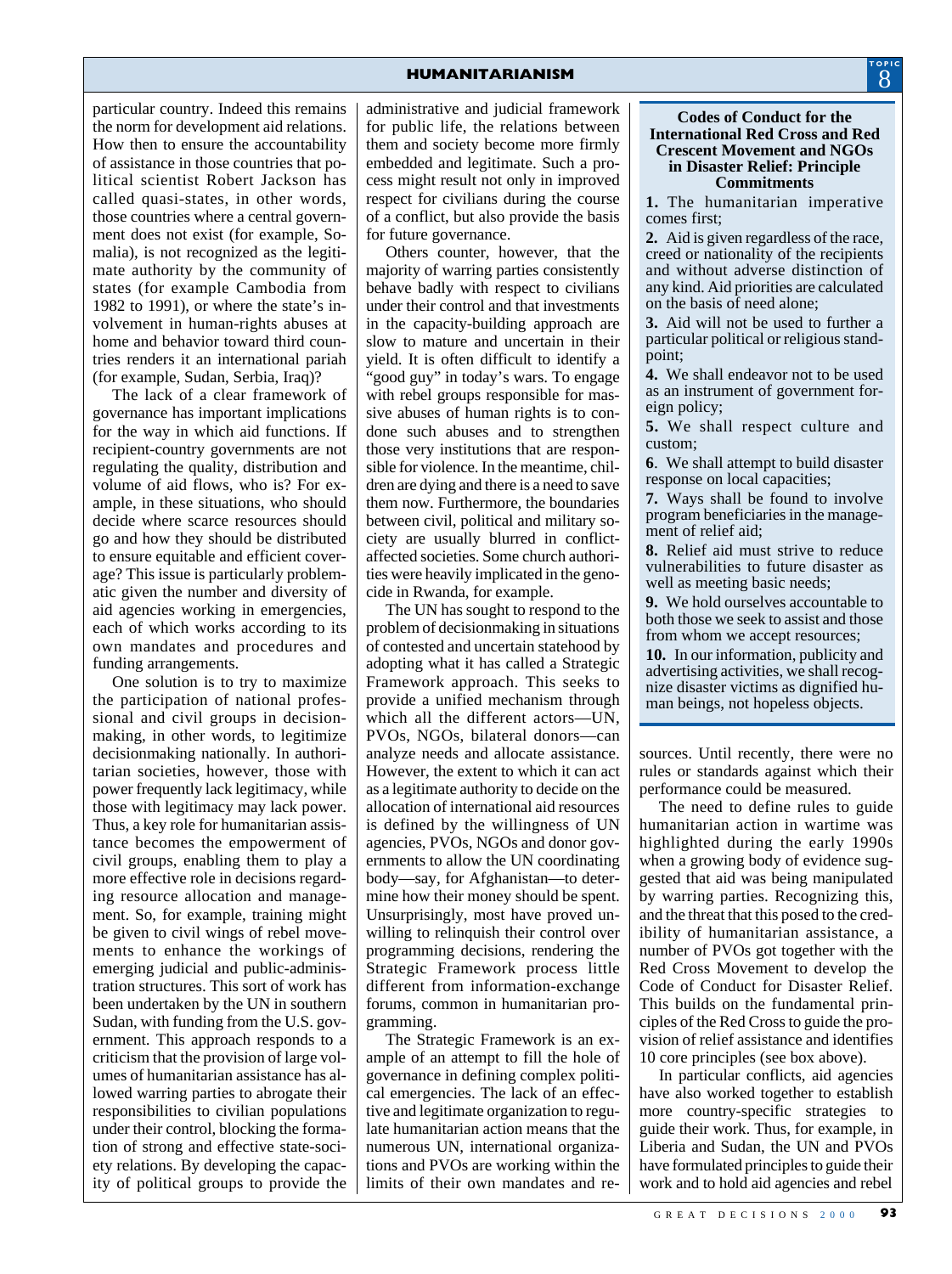particular country. Indeed this remains the norm for development aid relations. How then to ensure the accountability of assistance in those countries that political scientist Robert Jackson has called quasi-states, in other words, those countries where a central government does not exist (for example, Somalia), is not recognized as the legitimate authority by the community of states (for example Cambodia from 1982 to 1991), or where the state's involvement in human-rights abuses at home and behavior toward third countries renders it an international pariah (for example, Sudan, Serbia, Iraq)?

The lack of a clear framework of governance has important implications for the way in which aid functions. If recipient-country governments are not regulating the quality, distribution and volume of aid flows, who is? For example, in these situations, who should decide where scarce resources should go and how they should be distributed to ensure equitable and efficient coverage? This issue is particularly problematic given the number and diversity of aid agencies working in emergencies, each of which works according to its own mandates and procedures and funding arrangements.

One solution is to try to maximize the participation of national professional and civil groups in decisionmaking, in other words, to legitimize decisionmaking nationally. In authoritarian societies, however, those with power frequently lack legitimacy, while those with legitimacy may lack power. Thus, a key role for humanitarian assistance becomes the empowerment of civil groups, enabling them to play a more effective role in decisions regarding resource allocation and management. So, for example, training might be given to civil wings of rebel movements to enhance the workings of emerging judicial and public-administration structures. This sort of work has been undertaken by the UN in southern Sudan, with funding from the U.S. government. This approach responds to a criticism that the provision of large volumes of humanitarian assistance has allowed warring parties to abrogate their responsibilities to civilian populations under their control, blocking the formation of strong and effective state-society relations. By developing the capacity of political groups to provide the

administrative and judicial framework for public life, the relations between them and society become more firmly embedded and legitimate. Such a process might result not only in improved respect for civilians during the course of a conflict, but also provide the basis for future governance.

Others counter, however, that the majority of warring parties consistently behave badly with respect to civilians under their control and that investments in the capacity-building approach are slow to mature and uncertain in their yield. It is often difficult to identify a "good guy" in today's wars. To engage with rebel groups responsible for massive abuses of human rights is to condone such abuses and to strengthen those very institutions that are responsible for violence. In the meantime, children are dying and there is a need to save them now. Furthermore, the boundaries between civil, political and military society are usually blurred in conflictaffected societies. Some church authorities were heavily implicated in the genocide in Rwanda, for example.

The UN has sought to respond to the problem of decisionmaking in situations of contested and uncertain statehood by adopting what it has called a Strategic Framework approach. This seeks to provide a unified mechanism through which all the different actors—UN, PVOs, NGOs, bilateral donors—can analyze needs and allocate assistance. However, the extent to which it can act as a legitimate authority to decide on the allocation of international aid resources is defined by the willingness of UN agencies, PVOs, NGOs and donor governments to allow the UN coordinating body—say, for Afghanistan—to determine how their money should be spent. Unsurprisingly, most have proved unwilling to relinquish their control over programming decisions, rendering the Strategic Framework process little different from information-exchange forums, common in humanitarian programming.

The Strategic Framework is an example of an attempt to fill the hole of governance in defining complex political emergencies. The lack of an effective and legitimate organization to regulate humanitarian action means that the numerous UN, international organizations and PVOs are working within the limits of their own mandates and re-

#### **Codes of Conduct for the International Red Cross and Red Crescent Movement and NGOs in Disaster Relief: Principle Commitments**

**1.** The humanitarian imperative comes first;

**2.** Aid is given regardless of the race, creed or nationality of the recipients and without adverse distinction of any kind. Aid priorities are calculated on the basis of need alone;

**3.** Aid will not be used to further a particular political or religious standpoint;

**4.** We shall endeavor not to be used as an instrument of government foreign policy;

**5.** We shall respect culture and custom;

**6**. We shall attempt to build disaster response on local capacities;

**7.** Ways shall be found to involve program beneficiaries in the management of relief aid;

**8.** Relief aid must strive to reduce vulnerabilities to future disaster as well as meeting basic needs;

**9.** We hold ourselves accountable to both those we seek to assist and those from whom we accept resources;

**10.** In our information, publicity and advertising activities, we shall recognize disaster victims as dignified human beings, not hopeless objects.

sources. Until recently, there were no rules or standards against which their performance could be measured.

The need to define rules to guide humanitarian action in wartime was highlighted during the early 1990s when a growing body of evidence suggested that aid was being manipulated by warring parties. Recognizing this, and the threat that this posed to the credibility of humanitarian assistance, a number of PVOs got together with the Red Cross Movement to develop the Code of Conduct for Disaster Relief. This builds on the fundamental principles of the Red Cross to guide the provision of relief assistance and identifies 10 core principles (see box above).

In particular conflicts, aid agencies have also worked together to establish more country-specific strategies to guide their work. Thus, for example, in Liberia and Sudan, the UN and PVOs have formulated principles to guide their work and to hold aid agencies and rebel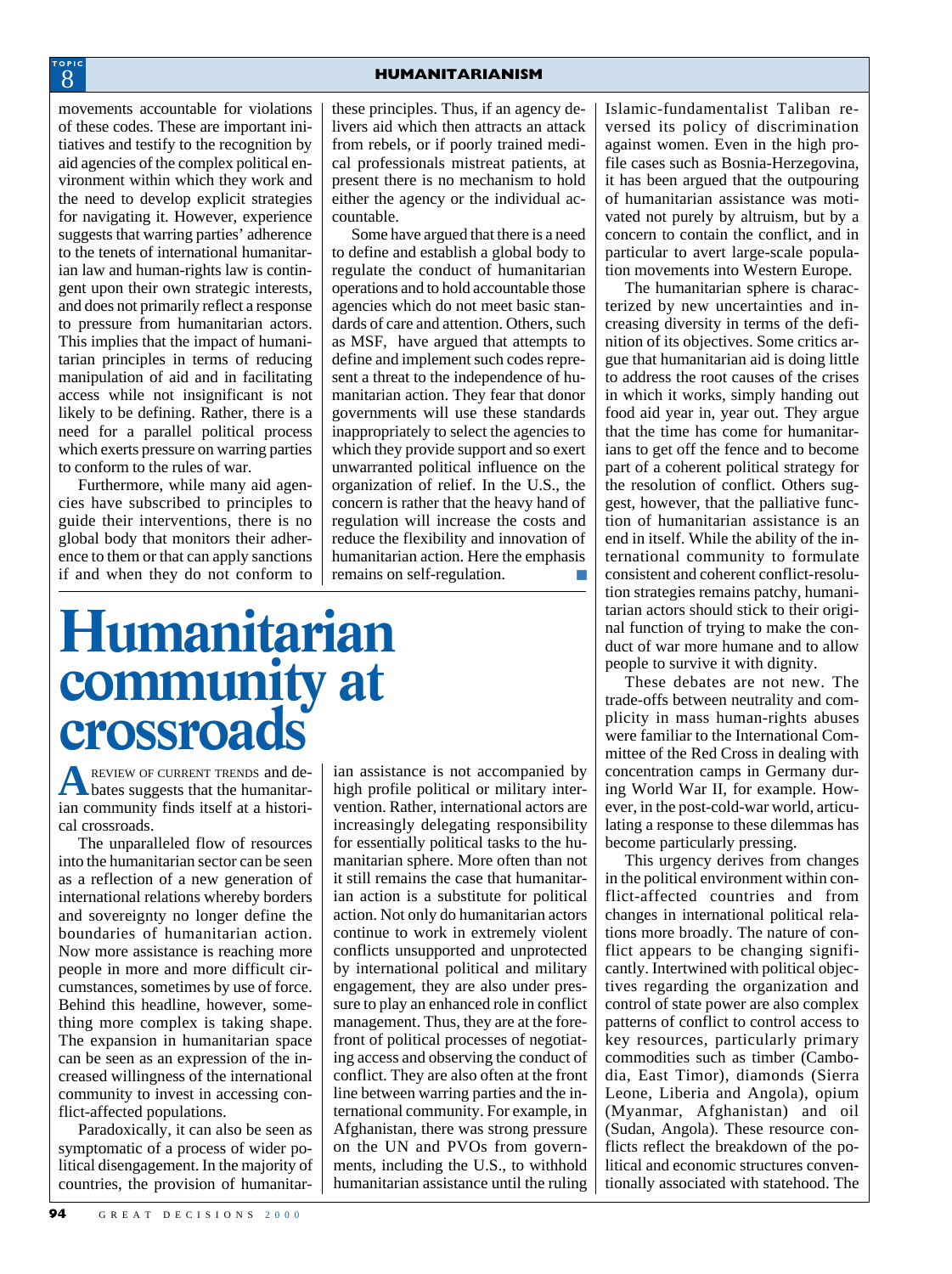movements accountable for violations of these codes. These are important initiatives and testify to the recognition by aid agencies of the complex political environment within which they work and the need to develop explicit strategies for navigating it. However, experience suggests that warring parties' adherence to the tenets of international humanitarian law and human-rights law is contingent upon their own strategic interests, and does not primarily reflect a response to pressure from humanitarian actors. This implies that the impact of humanitarian principles in terms of reducing manipulation of aid and in facilitating access while not insignificant is not likely to be defining. Rather, there is a need for a parallel political process which exerts pressure on warring parties to conform to the rules of war.

Furthermore, while many aid agencies have subscribed to principles to guide their interventions, there is no global body that monitors their adherence to them or that can apply sanctions if and when they do not conform to

these principles. Thus, if an agency delivers aid which then attracts an attack from rebels, or if poorly trained medical professionals mistreat patients, at present there is no mechanism to hold either the agency or the individual accountable.

Some have argued that there is a need to define and establish a global body to regulate the conduct of humanitarian operations and to hold accountable those agencies which do not meet basic standards of care and attention. Others, such as MSF, have argued that attempts to define and implement such codes represent a threat to the independence of humanitarian action. They fear that donor governments will use these standards inappropriately to select the agencies to which they provide support and so exert unwarranted political influence on the organization of relief. In the U.S., the concern is rather that the heavy hand of regulation will increase the costs and reduce the flexibility and innovation of humanitarian action. Here the emphasis remains on self-regulation.

## **Humanitarian community at crossroa**

**A** REVIEW OF CURRENT TRENDS and deian community finds itself at a historical crossroads.

The unparalleled flow of resources into the humanitarian sector can be seen as a reflection of a new generation of international relations whereby borders and sovereignty no longer define the boundaries of humanitarian action. Now more assistance is reaching more people in more and more difficult circumstances, sometimes by use of force. Behind this headline, however, something more complex is taking shape. The expansion in humanitarian space can be seen as an expression of the increased willingness of the international community to invest in accessing conflict-affected populations.

Paradoxically, it can also be seen as symptomatic of a process of wider political disengagement. In the majority of countries, the provision of humanitar-

ian assistance is not accompanied by high profile political or military intervention. Rather, international actors are increasingly delegating responsibility for essentially political tasks to the humanitarian sphere. More often than not it still remains the case that humanitarian action is a substitute for political action. Not only do humanitarian actors continue to work in extremely violent conflicts unsupported and unprotected by international political and military engagement, they are also under pressure to play an enhanced role in conflict management. Thus, they are at the forefront of political processes of negotiating access and observing the conduct of conflict. They are also often at the front line between warring parties and the international community. For example, in Afghanistan, there was strong pressure on the UN and PVOs from governments, including the U.S., to withhold humanitarian assistance until the ruling

Islamic-fundamentalist Taliban reversed its policy of discrimination against women. Even in the high profile cases such as Bosnia-Herzegovina, it has been argued that the outpouring of humanitarian assistance was motivated not purely by altruism, but by a concern to contain the conflict, and in particular to avert large-scale population movements into Western Europe.

The humanitarian sphere is characterized by new uncertainties and increasing diversity in terms of the definition of its objectives. Some critics argue that humanitarian aid is doing little to address the root causes of the crises in which it works, simply handing out food aid year in, year out. They argue that the time has come for humanitarians to get off the fence and to become part of a coherent political strategy for the resolution of conflict. Others suggest, however, that the palliative function of humanitarian assistance is an end in itself. While the ability of the international community to formulate consistent and coherent conflict-resolution strategies remains patchy, humanitarian actors should stick to their original function of trying to make the conduct of war more humane and to allow people to survive it with dignity.

These debates are not new. The trade-offs between neutrality and complicity in mass human-rights abuses were familiar to the International Committee of the Red Cross in dealing with concentration camps in Germany during World War II, for example. However, in the post-cold-war world, articulating a response to these dilemmas has become particularly pressing.

This urgency derives from changes in the political environment within conflict-affected countries and from changes in international political relations more broadly. The nature of conflict appears to be changing significantly. Intertwined with political objectives regarding the organization and control of state power are also complex patterns of conflict to control access to key resources, particularly primary commodities such as timber (Cambodia, East Timor), diamonds (Sierra Leone, Liberia and Angola), opium (Myanmar, Afghanistan) and oil (Sudan, Angola). These resource conflicts reflect the breakdown of the political and economic structures conventionally associated with statehood. The

#### 8 **TOPIC**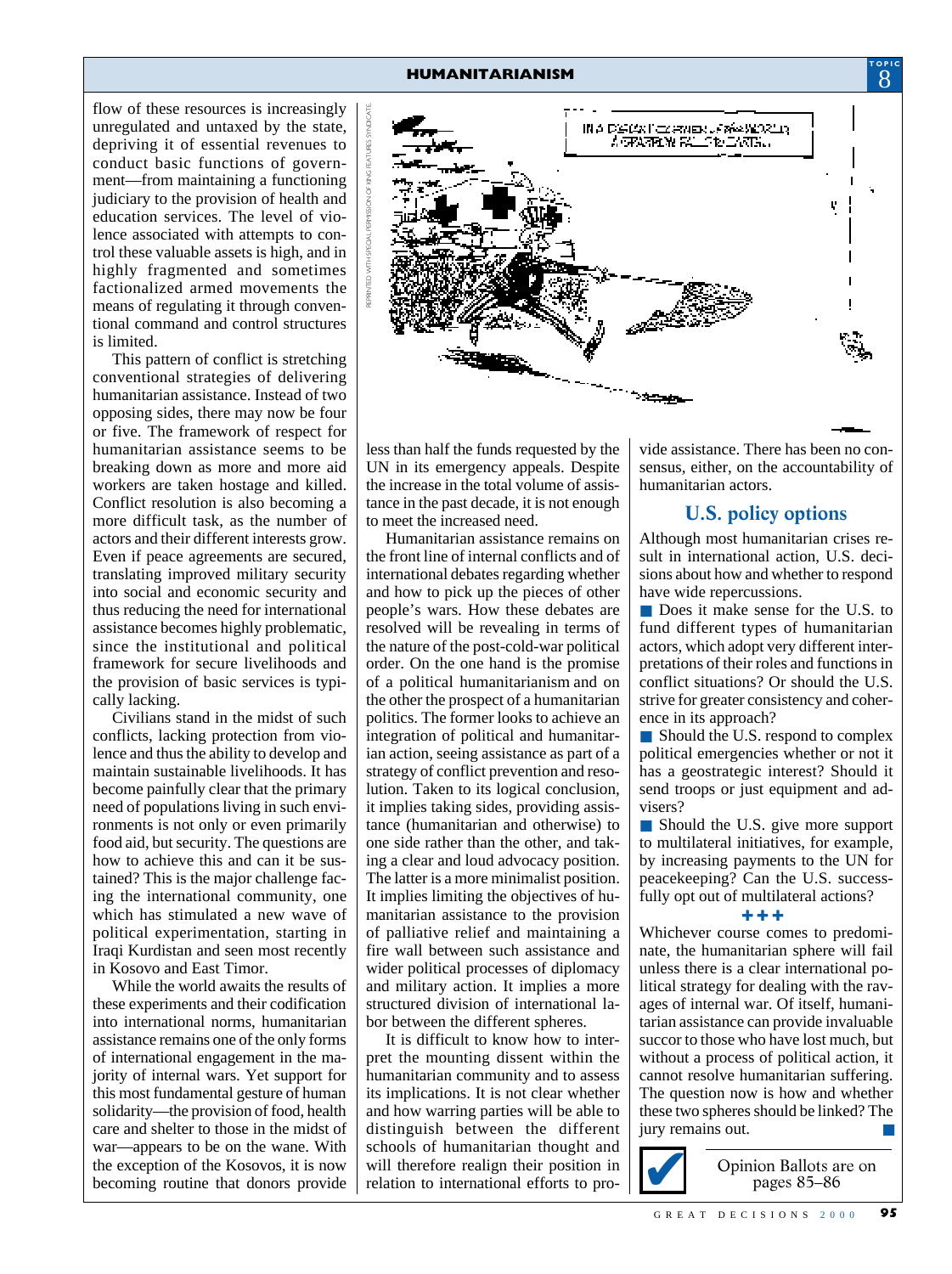flow of these resources is increasingly unregulated and untaxed by the state, depriving it of essential revenues to conduct basic functions of government—from maintaining a functioning judiciary to the provision of health and education services. The level of violence associated with attempts to control these valuable assets is high, and in highly fragmented and sometimes factionalized armed movements the means of regulating it through conventional command and control structures is limited.

This pattern of conflict is stretching conventional strategies of delivering humanitarian assistance. Instead of two opposing sides, there may now be four or five. The framework of respect for humanitarian assistance seems to be breaking down as more and more aid workers are taken hostage and killed. Conflict resolution is also becoming a more difficult task, as the number of actors and their different interests grow. Even if peace agreements are secured, translating improved military security into social and economic security and thus reducing the need for international assistance becomes highly problematic, since the institutional and political framework for secure livelihoods and the provision of basic services is typically lacking.

Civilians stand in the midst of such conflicts, lacking protection from violence and thus the ability to develop and maintain sustainable livelihoods. It has become painfully clear that the primary need of populations living in such environments is not only or even primarily food aid, but security. The questions are how to achieve this and can it be sustained? This is the major challenge facing the international community, one which has stimulated a new wave of political experimentation, starting in Iraqi Kurdistan and seen most recently in Kosovo and East Timor.

While the world awaits the results of these experiments and their codification into international norms, humanitarian assistance remains one of the only forms of international engagement in the majority of internal wars. Yet support for this most fundamental gesture of human solidarity—the provision of food, health care and shelter to those in the midst of war—appears to be on the wane. With the exception of the Kosovos, it is now becoming routine that donors provide



less than half the funds requested by the UN in its emergency appeals. Despite the increase in the total volume of assistance in the past decade, it is not enough to meet the increased need.

Humanitarian assistance remains on the front line of internal conflicts and of international debates regarding whether and how to pick up the pieces of other people's wars. How these debates are resolved will be revealing in terms of the nature of the post-cold-war political order. On the one hand is the promise of a political humanitarianism and on the other the prospect of a humanitarian politics. The former looks to achieve an integration of political and humanitarian action, seeing assistance as part of a strategy of conflict prevention and resolution. Taken to its logical conclusion, it implies taking sides, providing assistance (humanitarian and otherwise) to one side rather than the other, and taking a clear and loud advocacy position. The latter is a more minimalist position. It implies limiting the objectives of humanitarian assistance to the provision of palliative relief and maintaining a fire wall between such assistance and wider political processes of diplomacy and military action. It implies a more structured division of international labor between the different spheres.

It is difficult to know how to interpret the mounting dissent within the humanitarian community and to assess its implications. It is not clear whether and how warring parties will be able to distinguish between the different schools of humanitarian thought and will therefore realign their position in relation to international efforts to pro-

vide assistance. There has been no consensus, either, on the accountability of humanitarian actors.

**TOPIC**

#### **U.S. policy options**

Although most humanitarian crises result in international action, U.S. decisions about how and whether to respond have wide repercussions.

■ Does it make sense for the U.S. to fund different types of humanitarian actors, which adopt very different interpretations of their roles and functions in conflict situations? Or should the U.S. strive for greater consistency and coherence in its approach?

■ Should the U.S. respond to complex political emergencies whether or not it has a geostrategic interest? Should it send troops or just equipment and advisers?

■ Should the U.S. give more support to multilateral initiatives, for example, by increasing payments to the UN for peacekeeping? Can the U.S. successfully opt out of multilateral actions?

#### ✚ ✚ ✚

Whichever course comes to predominate, the humanitarian sphere will fail unless there is a clear international political strategy for dealing with the ravages of internal war. Of itself, humanitarian assistance can provide invaluable succor to those who have lost much, but without a process of political action, it cannot resolve humanitarian suffering. The question now is how and whether these two spheres should be linked? The jury remains out.



Opinion Ballots are on pages 85–86